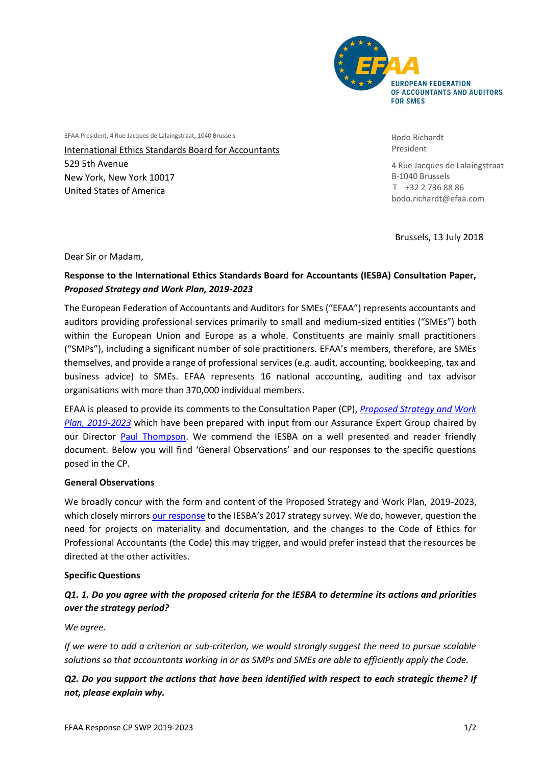

EFAA President, 4 Rue Jacques de Lalaingstraat, 1040 Brussels

International Ethics Standards Board for Accountants 529 5th Avenue New York, New York 10017 United States of America

Bodo Richardt President

4 Rue Jacques de Lalaingstraat B-1040 Brussels T +32 2 736 88 86 bodo.richardt@efaa.com

Brussels, 13 July 2018

Dear Sir or Madam,

### **Response to the International Ethics Standards Board for Accountants (IESBA) Consultation Paper,**  *Proposed Strategy and Work Plan, 2019-2023*

The European Federation of Accountants and Auditors for SMEs ("EFAA") represents accountants and auditors providing professional services primarily to small and medium-sized entities ("SMEs") both within the European Union and Europe as a whole. Constituents are mainly small practitioners ("SMPs"), including a significant number of sole practitioners. EFAA's members, therefore, are SMEs themselves, and provide a range of professional services (e.g. audit, accounting, bookkeeping, tax and business advice) to SMEs. EFAA represents 16 national accounting, auditing and tax advisor organisations with more than 370,000 individual members.

EFAA is pleased to provide its comments to the Consultation Paper (CP), *[Proposed Strategy and Work](http://www.ifac.org/publications-resources/consultation-paper-proposed-strategy-and-work-plan-2019-2023)  [Plan, 2019-2023](http://www.ifac.org/publications-resources/consultation-paper-proposed-strategy-and-work-plan-2019-2023)* which have been prepared with input from our Assurance Expert Group chaired by our Director [Paul Thompson.](http://www.efaa.com/about-efaa/efaa-board/index.html) We commend the IESBA on a well presented and reader friendly document. Below you will find 'General Observations' and our responses to the specific questions posed in the CP.

#### **General Observations**

We broadly concur with the form and content of the Proposed Strategy and Work Plan, 2019-2023, which closely mirror[s our response](http://www.efaa.com/cms/upload/efaa_files/pdf/Publications/Comment_letters/2017/20170613_EFAAResponse_IESBAStrategySurvey-FINAL.pdf) to the IESBA's 2017 strategy survey. We do, however, question the need for projects on materiality and documentation, and the changes to the Code of Ethics for Professional Accountants (the Code) this may trigger, and would prefer instead that the resources be directed at the other activities.

#### **Specific Questions**

# *Q1. 1. Do you agree with the proposed criteria for the IESBA to determine its actions and priorities over the strategy period?*

*We agree.* 

*If we were to add a criterion or sub-criterion, we would strongly suggest the need to pursue scalable solutions so that accountants working in or as SMPs and SMEs are able to efficiently apply the Code.* 

# *Q2. Do you support the actions that have been identified with respect to each strategic theme? If not, please explain why.*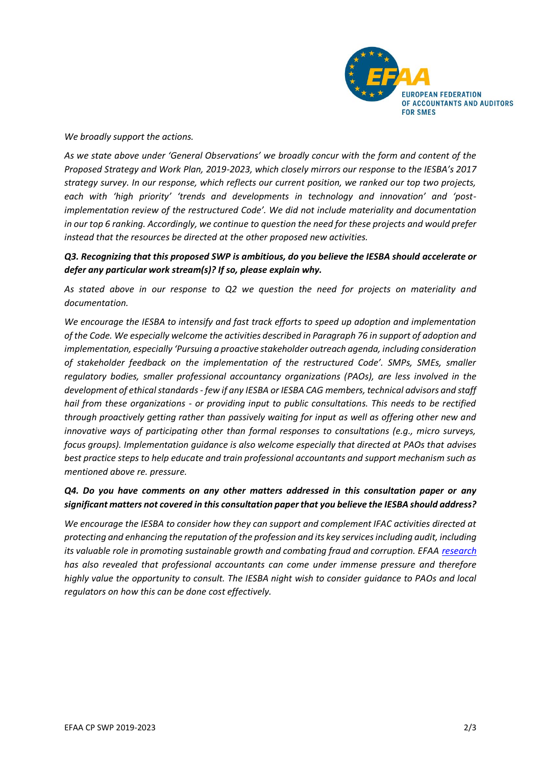

*We broadly support the actions.*

*As we state above under 'General Observations' we broadly concur with the form and content of the Proposed Strategy and Work Plan, 2019-2023, which closely mirrors our response to the IESBA's 2017 strategy survey. In our response, which reflects our current position, we ranked our top two projects, each with 'high priority' 'trends and developments in technology and innovation' and 'postimplementation review of the restructured Code'. We did not include materiality and documentation in our top 6 ranking. Accordingly, we continue to question the need for these projects and would prefer instead that the resources be directed at the other proposed new activities.*

#### *Q3. Recognizing that this proposed SWP is ambitious, do you believe the IESBA should accelerate or defer any particular work stream(s)? If so, please explain why.*

*As stated above in our response to Q2 we question the need for projects on materiality and documentation.* 

*We encourage the IESBA to intensify and fast track efforts to speed up adoption and implementation of the Code. We especially welcome the activities described in Paragraph 76 in support of adoption and implementation, especially 'Pursuing a proactive stakeholder outreach agenda, including consideration of stakeholder feedback on the implementation of the restructured Code'. SMPs, SMEs, smaller regulatory bodies, smaller professional accountancy organizations (PAOs), are less involved in the development of ethical standards - few if any IESBA or IESBA CAG members, technical advisors and staff hail from these organizations - or providing input to public consultations. This needs to be rectified through proactively getting rather than passively waiting for input as well as offering other new and innovative ways of participating other than formal responses to consultations (e.g., micro surveys, focus groups). Implementation guidance is also welcome especially that directed at PAOs that advises best practice steps to help educate and train professional accountants and support mechanism such as mentioned above re. pressure.*

### *Q4. Do you have comments on any other matters addressed in this consultation paper or any significant matters not covered in this consultation paper that you believe the IESBA should address?*

*We encourage the IESBA to consider how they can support and complement IFAC activities directed at protecting and enhancing the reputation of the profession and its key services including audit, including its valuable role in promoting sustainable growth and combating fraud and corruption. EFAA [research](http://www.efaa.com/cms/upload/efaa_files/pdf/Publications/Articles/20161221_EFAA_Pressure_Survey.pdf) has also revealed that professional accountants can come under immense pressure and therefore highly value the opportunity to consult. The IESBA night wish to consider guidance to PAOs and local regulators on how this can be done cost effectively.*